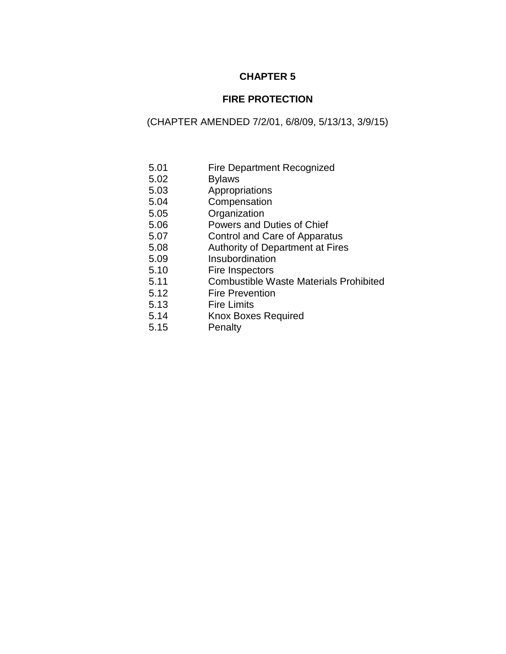# **CHAPTER 5**

# **FIRE PROTECTION**

# (CHAPTER AMENDED 7/2/01, 6/8/09, 5/13/13, 3/9/15)

- 5.01 Fire Department Recognized
- 5.02 Bylaws
- 5.03 Appropriations
- 5.04 Compensation
- 5.05 Organization
- 5.06 Powers and Duties of Chief
- 5.07 Control and Care of Apparatus
- 5.08 Authority of Department at Fires
- 5.09 Insubordination
- 5.10 Fire Inspectors
- 5.11 Combustible Waste Materials Prohibited
- 5.12 Fire Prevention
- 5.13 Fire Limits
- 5.14 Knox Boxes Required
- 5.15 Penalty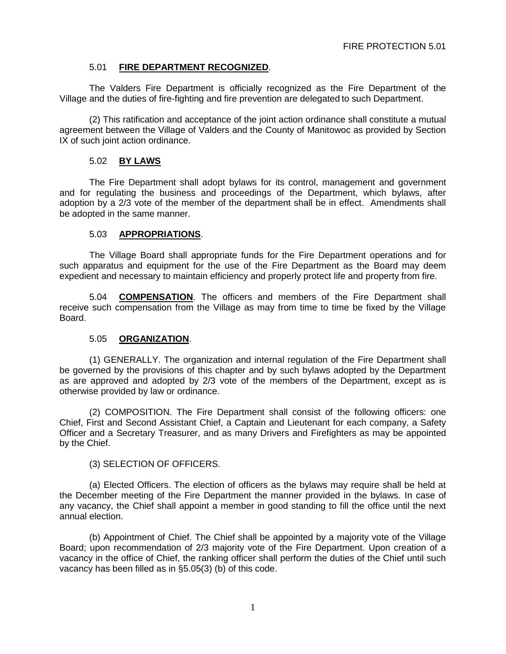## 5.01 **FIRE DEPARTMENT RECOGNIZED**.

The Valders Fire Department is officially recognized as the Fire Department of the Village and the duties of fire-fighting and fire prevention are delegated to such Department.

(2) This ratification and acceptance of the joint action ordinance shall constitute a mutual agreement between the Village of Valders and the County of Manitowoc as provided by Section IX of such joint action ordinance.

## 5.02 **BY LAWS**

The Fire Department shall adopt bylaws for its control, management and government and for regulating the business and proceedings of the Department, which bylaws, after adoption by a 2/3 vote of the member of the department shall be in effect. Amendments shall be adopted in the same manner.

## 5.03 **APPROPRIATIONS**.

The Village Board shall appropriate funds for the Fire Department operations and for such apparatus and equipment for the use of the Fire Department as the Board may deem expedient and necessary to maintain efficiency and properly protect life and property from fire.

5.04 **COMPENSATION**. The officers and members of the Fire Department shall receive such compensation from the Village as may from time to time be fixed by the Village Board.

#### 5.05 **ORGANIZATION**.

(1) GENERALLY. The organization and internal regulation of the Fire Department shall be governed by the provisions of this chapter and by such bylaws adopted by the Department as are approved and adopted by 2/3 vote of the members of the Department, except as is otherwise provided by law or ordinance.

(2) COMPOSITION. The Fire Department shall consist of the following officers: one Chief, First and Second Assistant Chief, a Captain and Lieutenant for each company, a Safety Officer and a Secretary Treasurer, and as many Drivers and Firefighters as may be appointed by the Chief.

#### (3) SELECTION OF OFFICERS.

(a) Elected Officers. The election of officers as the bylaws may require shall be held at the December meeting of the Fire Department the manner provided in the bylaws. In case of any vacancy, the Chief shall appoint a member in good standing to fill the office until the next annual election.

(b) Appointment of Chief. The Chief shall be appointed by a majority vote of the Village Board; upon recommendation of 2/3 majority vote of the Fire Department. Upon creation of a vacancy in the office of Chief, the ranking officer shall perform the duties of the Chief until such vacancy has been filled as in §5.05(3) (b) of this code.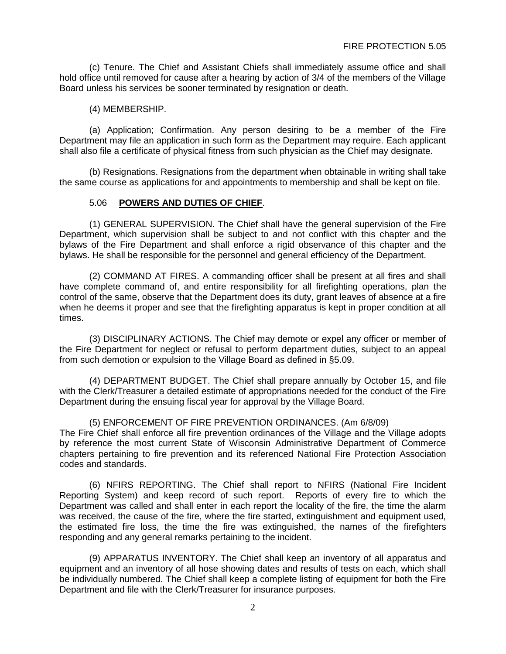(c) Tenure. The Chief and Assistant Chiefs shall immediately assume office and shall hold office until removed for cause after a hearing by action of 3/4 of the members of the Village Board unless his services be sooner terminated by resignation or death.

(4) MEMBERSHIP.

(a) Application; Confirmation. Any person desiring to be a member of the Fire Department may file an application in such form as the Department may require. Each applicant shall also file a certificate of physical fitness from such physician as the Chief may designate.

(b) Resignations. Resignations from the department when obtainable in writing shall take the same course as applications for and appointments to membership and shall be kept on file.

#### 5.06 **POWERS AND DUTIES OF CHIEF**.

(1) GENERAL SUPERVISION. The Chief shall have the general supervision of the Fire Department, which supervision shall be subject to and not conflict with this chapter and the bylaws of the Fire Department and shall enforce a rigid observance of this chapter and the bylaws. He shall be responsible for the personnel and general efficiency of the Department.

(2) COMMAND AT FIRES. A commanding officer shall be present at all fires and shall have complete command of, and entire responsibility for all firefighting operations, plan the control of the same, observe that the Department does its duty, grant leaves of absence at a fire when he deems it proper and see that the firefighting apparatus is kept in proper condition at all times.

(3) DISCIPLINARY ACTIONS. The Chief may demote or expel any officer or member of the Fire Department for neglect or refusal to perform department duties, subject to an appeal from such demotion or expulsion to the Village Board as defined in §5.09.

(4) DEPARTMENT BUDGET. The Chief shall prepare annually by October 15, and file with the Clerk/Treasurer a detailed estimate of appropriations needed for the conduct of the Fire Department during the ensuing fiscal year for approval by the Village Board.

(5) ENFORCEMENT OF FIRE PREVENTION ORDINANCES. (Am 6/8/09) The Fire Chief shall enforce all fire prevention ordinances of the Village and the Village adopts by reference the most current State of Wisconsin Administrative Department of Commerce chapters pertaining to fire prevention and its referenced National Fire Protection Association codes and standards.

(6) NFIRS REPORTING. The Chief shall report to NFIRS (National Fire Incident Reporting System) and keep record of such report. Reports of every fire to which the Department was called and shall enter in each report the locality of the fire, the time the alarm was received, the cause of the fire, where the fire started, extinguishment and equipment used, the estimated fire loss, the time the fire was extinguished, the names of the firefighters responding and any general remarks pertaining to the incident.

(9) APPARATUS INVENTORY. The Chief shall keep an inventory of all apparatus and equipment and an inventory of all hose showing dates and results of tests on each, which shall be individually numbered. The Chief shall keep a complete listing of equipment for both the Fire Department and file with the Clerk/Treasurer for insurance purposes.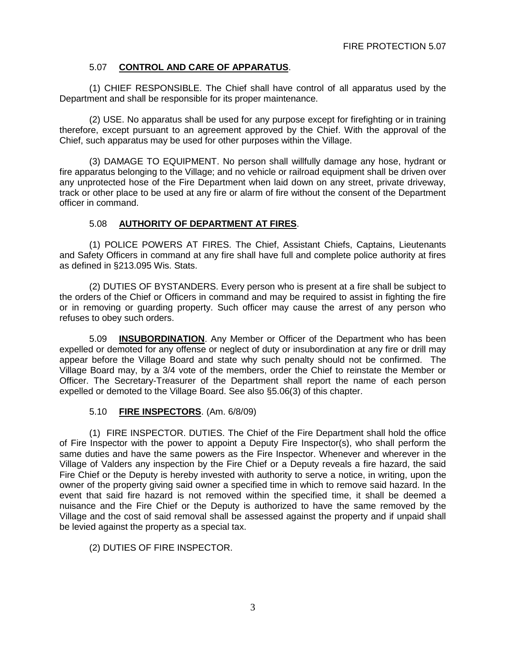## 5.07 **CONTROL AND CARE OF APPARATUS**.

(1) CHIEF RESPONSIBLE. The Chief shall have control of all apparatus used by the Department and shall be responsible for its proper maintenance.

(2) USE. No apparatus shall be used for any purpose except for firefighting or in training therefore, except pursuant to an agreement approved by the Chief. With the approval of the Chief, such apparatus may be used for other purposes within the Village.

(3) DAMAGE TO EQUIPMENT. No person shall willfully damage any hose, hydrant or fire apparatus belonging to the Village; and no vehicle or railroad equipment shall be driven over any unprotected hose of the Fire Department when laid down on any street, private driveway, track or other place to be used at any fire or alarm of fire without the consent of the Department officer in command.

## 5.08 **AUTHORITY OF DEPARTMENT AT FIRES**.

(1) POLICE POWERS AT FIRES. The Chief, Assistant Chiefs, Captains, Lieutenants and Safety Officers in command at any fire shall have full and complete police authority at fires as defined in §213.095 Wis. Stats.

(2) DUTIES OF BYSTANDERS. Every person who is present at a fire shall be subject to the orders of the Chief or Officers in command and may be required to assist in fighting the fire or in removing or guarding property. Such officer may cause the arrest of any person who refuses to obey such orders.

5.09 **INSUBORDINATION**. Any Member or Officer of the Department who has been expelled or demoted for any offense or neglect of duty or insubordination at any fire or drill may appear before the Village Board and state why such penalty should not be confirmed. The Village Board may, by a 3/4 vote of the members, order the Chief to reinstate the Member or Officer. The Secretary-Treasurer of the Department shall report the name of each person expelled or demoted to the Village Board. See also §5.06(3) of this chapter.

#### 5.10 **FIRE INSPECTORS**. (Am. 6/8/09)

(1) FIRE INSPECTOR. DUTIES. The Chief of the Fire Department shall hold the office of Fire Inspector with the power to appoint a Deputy Fire Inspector(s), who shall perform the same duties and have the same powers as the Fire Inspector. Whenever and wherever in the Village of Valders any inspection by the Fire Chief or a Deputy reveals a fire hazard, the said Fire Chief or the Deputy is hereby invested with authority to serve a notice, in writing, upon the owner of the property giving said owner a specified time in which to remove said hazard. In the event that said fire hazard is not removed within the specified time, it shall be deemed a nuisance and the Fire Chief or the Deputy is authorized to have the same removed by the Village and the cost of said removal shall be assessed against the property and if unpaid shall be levied against the property as a special tax.

(2) DUTIES OF FIRE INSPECTOR.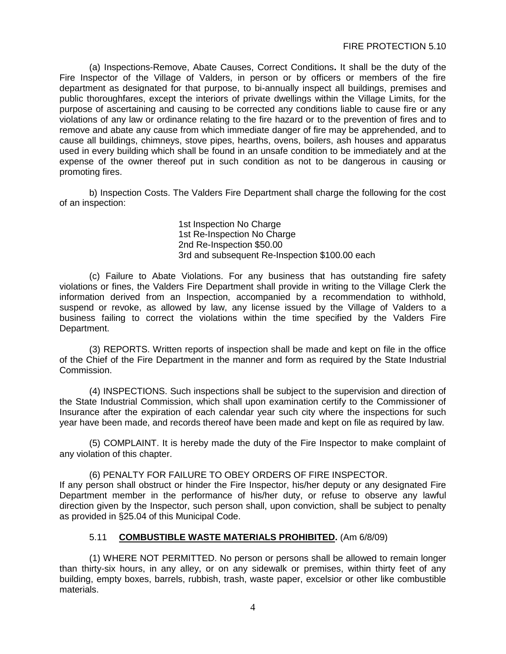(a) Inspections-Remove, Abate Causes, Correct Conditions**.** It shall be the duty of the Fire Inspector of the Village of Valders, in person or by officers or members of the fire department as designated for that purpose, to bi-annually inspect all buildings, premises and public thoroughfares, except the interiors of private dwellings within the Village Limits, for the purpose of ascertaining and causing to be corrected any conditions liable to cause fire or any violations of any law or ordinance relating to the fire hazard or to the prevention of fires and to remove and abate any cause from which immediate danger of fire may be apprehended, and to cause all buildings, chimneys, stove pipes, hearths, ovens, boilers, ash houses and apparatus used in every building which shall be found in an unsafe condition to be immediately and at the expense of the owner thereof put in such condition as not to be dangerous in causing or promoting fires.

b) Inspection Costs. The Valders Fire Department shall charge the following for the cost of an inspection:

> 1st Inspection No Charge 1st Re-Inspection No Charge 2nd Re-Inspection \$50.00 3rd and subsequent Re-Inspection \$100.00 each

(c) Failure to Abate Violations. For any business that has outstanding fire safety violations or fines, the Valders Fire Department shall provide in writing to the Village Clerk the information derived from an Inspection, accompanied by a recommendation to withhold, suspend or revoke, as allowed by law, any license issued by the Village of Valders to a business failing to correct the violations within the time specified by the Valders Fire Department.

(3) REPORTS. Written reports of inspection shall be made and kept on file in the office of the Chief of the Fire Department in the manner and form as required by the State Industrial Commission.

(4) INSPECTIONS. Such inspections shall be subject to the supervision and direction of the State Industrial Commission, which shall upon examination certify to the Commissioner of Insurance after the expiration of each calendar year such city where the inspections for such year have been made, and records thereof have been made and kept on file as required by law.

(5) COMPLAINT. It is hereby made the duty of the Fire Inspector to make complaint of any violation of this chapter.

(6) PENALTY FOR FAILURE TO OBEY ORDERS OF FIRE INSPECTOR. If any person shall obstruct or hinder the Fire Inspector, his/her deputy or any designated Fire Department member in the performance of his/her duty, or refuse to observe any lawful direction given by the Inspector, such person shall, upon conviction, shall be subject to penalty as provided in §25.04 of this Municipal Code.

## 5.11 **COMBUSTIBLE WASTE MATERIALS PROHIBITED.** (Am 6/8/09)

(1) WHERE NOT PERMITTED. No person or persons shall be allowed to remain longer than thirty-six hours, in any alley, or on any sidewalk or premises, within thirty feet of any building, empty boxes, barrels, rubbish, trash, waste paper, excelsior or other like combustible materials.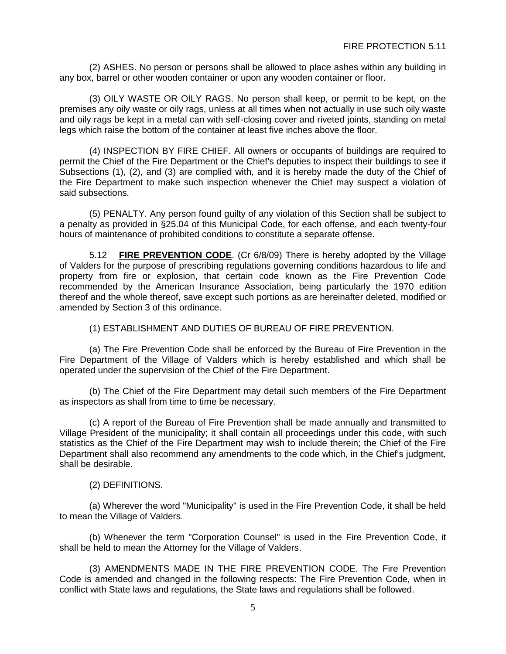(2) ASHES. No person or persons shall be allowed to place ashes within any building in any box, barrel or other wooden container or upon any wooden container or floor.

(3) OILY WASTE OR OILY RAGS. No person shall keep, or permit to be kept, on the premises any oily waste or oily rags, unless at all times when not actually in use such oily waste and oily rags be kept in a metal can with self-closing cover and riveted joints, standing on metal legs which raise the bottom of the container at least five inches above the floor.

(4) INSPECTION BY FIRE CHIEF. All owners or occupants of buildings are required to permit the Chief of the Fire Department or the Chief's deputies to inspect their buildings to see if Subsections (1), (2), and (3) are complied with, and it is hereby made the duty of the Chief of the Fire Department to make such inspection whenever the Chief may suspect a violation of said subsections.

(5) PENALTY. Any person found guilty of any violation of this Section shall be subject to a penalty as provided in §25.04 of this Municipal Code, for each offense, and each twenty-four hours of maintenance of prohibited conditions to constitute a separate offense.

5.12 **FIRE PREVENTION CODE**. (Cr 6/8/09) There is hereby adopted by the Village of Valders for the purpose of prescribing regulations governing conditions hazardous to life and property from fire or explosion, that certain code known as the Fire Prevention Code recommended by the American Insurance Association, being particularly the 1970 edition thereof and the whole thereof, save except such portions as are hereinafter deleted, modified or amended by Section 3 of this ordinance.

(1) ESTABLISHMENT AND DUTIES OF BUREAU OF FIRE PREVENTION.

(a) The Fire Prevention Code shall be enforced by the Bureau of Fire Prevention in the Fire Department of the Village of Valders which is hereby established and which shall be operated under the supervision of the Chief of the Fire Department.

(b) The Chief of the Fire Department may detail such members of the Fire Department as inspectors as shall from time to time be necessary.

(c) A report of the Bureau of Fire Prevention shall be made annually and transmitted to Village President of the municipality; it shall contain all proceedings under this code, with such statistics as the Chief of the Fire Department may wish to include therein; the Chief of the Fire Department shall also recommend any amendments to the code which, in the Chief's judgment, shall be desirable.

(2) DEFINITIONS.

(a) Wherever the word "Municipality" is used in the Fire Prevention Code, it shall be held to mean the Village of Valders.

(b) Whenever the term "Corporation Counsel" is used in the Fire Prevention Code, it shall be held to mean the Attorney for the Village of Valders.

(3) AMENDMENTS MADE IN THE FIRE PREVENTION CODE. The Fire Prevention Code is amended and changed in the following respects: The Fire Prevention Code, when in conflict with State laws and regulations, the State laws and regulations shall be followed.